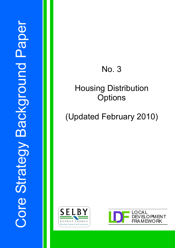## No. 3

## Housing Distribution **Options**

# (Updated February 2010)



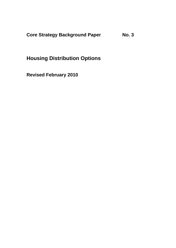**Core Strategy Background Paper No. 3** 

## **Housing Distribution Options**

**Revised February 2010**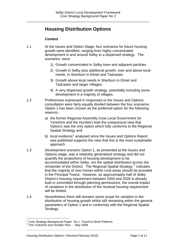### **Housing Distribution Options**

#### **Context**

- 1.1 At the Issues and Option Stage, four scenarios for future housing growth were identified, ranging from highly concentrated development in and around Selby to a dispersed strategy. The scenarios were:
	- 1) Growth concentrated in Selby town and adjacent parishes
	- 2) Growth in Selby plus additional growth, over and above local needs, in Sherburn in Elmet and Tadcaster.
	- 3) Growth above local needs in Sherburn in Elmet and Tadcaster and larger Villages.
	- 4) A very dispersed growth strategy, potentially including some development in a majority of villages.
- 1.2 Preferences expressed in responses to the Issues and Options consultation were fairly equally divided between the four scenarios. Option 1 has been chosen as the preferred option for the following reasons:
	- a) the former Regional Assembly (now Local Government for Yorkshire and the Humber) took the unequivocal view that Option1 was the only option which fully conforms to the Regional Spatial Strategy and.
	- b) local evidence<sup>[1](#page-2-0)</sup> analysed since the Issues and Options Report was published supports the view that this is the most sustainable approach.
- 1.3 Development scenario Option 1, as presented at the Issues and Options stage, was a relatively generalised strategy and did not quantify the proportions of housing development to be accommodated within Selby, nor the spatial distribution across the remainder of the District. The Regional Spatial Strategy<sup>[2](#page-2-1)</sup> indicates that the majority of new homes within rural areas should be provided in the Principal Towns. However, as approximately half of Selby District's housing requirement between 2004 and 2026 is already built or committed through planning permissions, the overall impact of variations in the distribution of the residual housing requirement will be limited.
- 1.4 Nevertheless there still remains some scope for variation in the distribution of housing growth whilst still remaining within the general parameters of Option 1 and in conformity with the Regional Spatial Strategy.

*\_\_\_\_\_\_\_\_\_\_\_\_\_\_\_\_\_\_\_\_\_\_\_\_\_\_\_\_\_\_\_\_\_\_\_\_\_\_\_\_\_\_\_\_\_\_\_\_\_\_\_\_\_\_\_\_\_\_\_\_\_\_\_\_\_\_\_\_\_\_\_\_\_\_* 

l

<span id="page-2-0"></span><sup>&</sup>lt;sup>1</sup> Core Strategy Background Paper No.1, Travel to Work Patterns

<span id="page-2-1"></span> $2$  The Yorkshire and Humber Plan - May 2008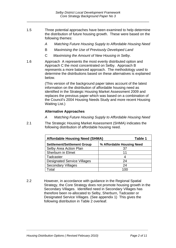- 1.5 Three potential approaches have been examined to help determine the distribution of future housing growth. These were based on the following themes:
	- *A Matching Future Housing Supply to Affordable Housing Need*
	- B *Maximising the Use of Previously Developed Land*
	- C *Maximising the Amount of New Housing in Selby*.
- 1.6 Approach A represents the most evenly distributed option and Approach C the most concentrated on Selby. Approach B represents a more balanced approach. The methodology used to determine the distributions based on these alternatives is explained below.

(This version of the background paper takes account of the latest information on the distribution of affordable housing need as identified in the Strategic Housing Market Assessment 2009 and replaces the previous paper which was based on a combination of the Council's 2004 Housing Needs Study and more recent Housing Waiting List.)

#### **Alternative Approaches**

- *A Matching Future Housing Supply to Affordable Housing Need*
- 2.1 The Strategic Housing Market Assessment (SHMA) indicates the following distribution of affordable housing need.

| <b>Affordable Housing Need (SHMA)</b> | Table 1                   |
|---------------------------------------|---------------------------|
| <b>Settlement/Settlement Group</b>    | % Affordable Housing Need |
| Selby Area Action Plan                | 37                        |
| <b>Sherburn in Elmet</b>              | 11                        |
| Tadcaster                             | 4                         |
| <b>Designated Service Villages</b>    | 24                        |
| <b>Secondary Villages</b>             | 24                        |
| Гоtal                                 | 1 በበ                      |

2.2 However, in accordance with guidance in the Regional Spatial Strategy, the Core Strategy does not promote housing growth in the Secondary Villages. Identified need in Secondary Villages has therefore been re-allocated to Selby, Sherburn, Tadcaster or Designated Service Villages. (See appendix 1) This gives the following distribution in Table 2 overleaf.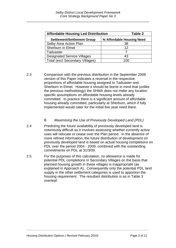\_\_\_\_\_\_\_\_\_\_\_\_\_\_\_\_\_\_\_\_\_\_\_\_\_\_\_\_\_\_\_\_\_\_\_\_\_\_\_\_\_\_\_\_\_\_\_\_\_\_\_\_\_\_\_\_\_\_\_\_\_\_

| <b>Affordable Housing Led Distribution</b> | Table 2                   |
|--------------------------------------------|---------------------------|
| <b>Settlement/Settlement Group</b>         | % Affordable Housing Need |
| Selby Area Action Plan                     | 38                        |
| <b>Sherburn in Elmet</b>                   | 12                        |
| Tadcaster                                  |                           |
| <b>Designated Service Villages</b>         | 43                        |
| <b>Total (excl Secondary Villages)</b>     | 100                       |

2.3 Comparison with the previous distribution in the September 2008 version of this Paper indicates a reversal in the respective proportions of affordable housing assigned to Tadcaster and Sherburn in Elmet.However it should be borne in mind that (unlike the previous methodology) the SHMA does not make any location specific assumptions on affordable housing levels already committed. In practice there is a significant amount of affordable housing already committed, particularly at Sherburn, which if fully implemented would cater for the initial five year need there.

#### B *Maximising the Use of Previously Developed Land (PDL)*

- 2.4 Predicting the future availability of previously developed land is notoriously difficult as it involves assessing whether currently active uses will relocate or cease over the Plan period. In the absence of more refined information, the future distribution of development on previously developed land is based on actual housing completions on PDL over the period 2004 - 2009, combined with the outstanding commitments on PDL at 31/3/09.
- 2.5 For the purposes of this calculation, no allowance is made for potential PDL completions in Secondary Villages on the basis that planned housing growth in these villages is inappropriate (as explained in Approach A). Consequently only the potential PDL land supply in the other settlement categories is used to apportion the housing requirement. The resultant distribution is as in Table 3 overleaf: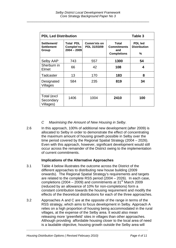| <b>PDL Led Distribution</b><br>Table 3    |                                                 |                             |                                                          |                                            |
|-------------------------------------------|-------------------------------------------------|-----------------------------|----------------------------------------------------------|--------------------------------------------|
| Settlement/<br><b>Settlement</b><br>Group | <b>Total PDL</b><br>Complet'ns<br>$2004 - 2009$ | Comm'nts on<br>PDL 31/03/09 | Total<br><b>Commitments</b><br>and<br><b>Completions</b> | <b>PDL</b> led<br><b>Distribution</b><br>% |
| Selby AAP                                 | 743                                             | 557                         | 1300                                                     | 54                                         |
| Sherburn in<br>Elmet                      | 66                                              | 42                          | 108                                                      | 4                                          |
| Tadcaster                                 | 13                                              | 170                         | 183                                                      | 8                                          |
| Designated<br>Villages                    | 584                                             | 235                         | 819                                                      | 34                                         |
|                                           |                                                 |                             |                                                          |                                            |
| Total (excl<br>Secondary<br>Villages)     | 1406                                            | 1004                        | 2410                                                     | 100                                        |

#### *C Maximising the Amount of New Housing in Selby*.

2.6 In this approach, 100% of additional new development (after 2009) is allocated to Selby in order to demonstrate the effect of concentrating the maximum amount of housing growth possible in Selby over the time period covered by the Regional Spatial Strategy (2004 – 2026). Even with this approach, however, significant development would still occur across the remainder of the District owing to the implementation of current commitments.

#### **Implications of the Alternative Approaches**

- 3.1 Table 4 below illustrates the outcome across the District of the different approaches to distributing new house building (2009 onwards). The Regional Spatial Strategy's requirements and targets are related to the complete RSS period (2004 – 2026). In each case, completions (2004 – 2009) and commitments at 31<sup>st</sup> March 2009 (reduced by an allowance of 10% for non-completions) form a constant contribution towards the housing requirement and modify the effects of the theoretical distributions for each of the three approaches.
- 3.2 Approaches A and C are at the opposite of the range in terms of the RSS strategy, which aims to focus development in Selby. Approach A relies on a high proportion of housing being accommodated in the rural villages, at the expense of the Selby area. It would also mean releasing more 'greenfield' sites in villages than other approaches. Although providing affordable housing closer to the local area of need is a laudable objective, housing growth outside the Selby area will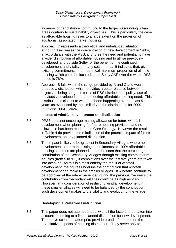increase longer distance commuting to the larger surrounding urban areas contrary to sustainability objectives. This is particularly the case as affordable housing relies to a large extent on the provision of additional, associated market housing.

- 3.3 Approach C represents a theoretical and unbalanced situation. Although it increases the concentration of new development in Selby, in accordance with the RSS, it ignores the need and potential to have a wider distribution of affordable housing and to utilise previously developed land outside Selby for the benefit of the continued development and vitality of many settlements. It indicates that, given existing commitments, the theoretical maximum proportion of all new housing which could be located in the Selby AAP over the whole RSS period is 76%.
- 3.4 Approach B falls within the range provided by A and C and would produce a distribution which provides a better balance between the objectives being sought in terms of RSS distributional policy, use of previously developed land and meeting affordable housing need. This distribution is closest to what has been happening over the last 5 years as evidenced by the similarity of the distributions for 2009 – 2026 and 2004 – 2026.

#### **Impact of windfall development on distribution**

- 3.5 PPS3 does not encourage making allowance for future windfall development when planning for future housing provision; and no allowance has been made in the Core Strategy. However the results in Table 4 do provide some indication of the potential impact of future development on any planned distribution.
- 3.6 The impact is likely to be greatest in Secondary Villages where no development other than existing commitments or 100% affordable housing schemes are planned. It can be seen that the percentage contribution of the Secondary Villages through existing commitments doubles (from 5 to 9%) if completions over the last five years are taken into account. As this is almost entirely the result of windfall development, the figures underline the contribution that windfall development can make in the smaller villages. If windfalls continue to be approved at the rate experienced during the previous five years the contribution from Secondary Villages could be as high as 20%. However, any consideration of restricting windfall development in these smaller villages will need to be balanced by the contribution such development makes to the vitality and evolution of the village.

#### **Developing a Preferred Distribution**

3.7 This paper does not attempt to deal with all the factors to be taken into account in coming to a final planned distribution for new development. The above scenarios attempt to provide broad information on the quantitative aspects of housing distribution. They serve only to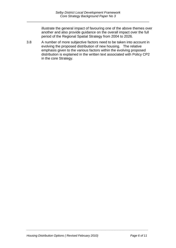illustrate the general impact of favouring one of the above themes over another and also provide guidance on the overall impact over the full period of the Regional Spatial Strategy from 2004 to 2026.

3.8 A number of more subjective factors need to be taken into account in evolving the proposed distribution of new housing. The relative emphasis given to the various factors within the evolving proposed distribution is explained in the written text associated with Policy CP2 in the core Strategy.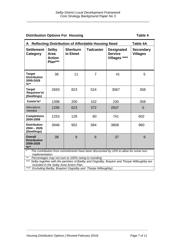#### **Distribution Options For Housing Table 4**

| <b>Reflecting Distribution of Affordable Housing Need</b><br>Table 4A<br>A                                         |                                                  |                             |                  |                                                      |                                     |
|--------------------------------------------------------------------------------------------------------------------|--------------------------------------------------|-----------------------------|------------------|------------------------------------------------------|-------------------------------------|
| <b>Settlement</b><br>Category                                                                                      | <b>Selby</b><br>Area<br><b>Action</b><br>Plan*** | <b>Sherburn</b><br>in Elmet | <b>Tadcaster</b> | <b>Designated</b><br><b>Service</b><br>Villages **** | <b>Secondary</b><br><b>Villages</b> |
| <b>Target</b><br><b>Distribution</b><br>2009-2026<br>$%$ **                                                        | 36                                               | 11                          | $\overline{7}$   | 41                                                   | 5                                   |
| <b>Target</b><br>Requirem'nt<br>(Dwellings)                                                                        | 2693                                             | 823                         | 524              | 3067                                                 | 358                                 |
| Comm'ts*                                                                                                           | 1398                                             | 200                         | 152              | 230                                                  | 358                                 |
| Allocations<br>Needed                                                                                              | 1295                                             | 623                         | 372              | 2837                                                 | $\overline{0}$                      |
| <b>Completions</b><br>2004-2009                                                                                    | 1253                                             | 129                         | 60               | 741                                                  | 602                                 |
| <b>Distribution</b><br>$2004 - 2026$<br>(Dwellings)                                                                | 3946                                             | 952                         | 584              | 3808                                                 | 960                                 |
| <b>Overall</b><br><b>Distribution</b><br>2009-2026<br>$%$ **                                                       | 38                                               | 9                           | 6                | 37                                                   | 9                                   |
| $^\star$<br>The contribution from commitments have been discounted by 10% to allow for some non-<br>implementation |                                                  |                             |                  |                                                      |                                     |

*\*\* Percentages may not sum to 100% owing to rounding* 

*\*\*\* Selby together with the parishes of Barlby and Osgodby, Brayton and Thorpe Willoughby are included in the Selby Area Action Plan.* 

*\_\_\_\_\_\_\_\_\_\_\_\_\_\_\_\_\_\_\_\_\_\_\_\_\_\_\_\_\_\_\_\_\_\_\_\_\_\_\_\_\_\_\_\_\_\_\_\_\_\_\_\_\_\_\_\_\_\_\_\_\_\_\_\_\_\_\_\_\_\_\_\_\_\_* 

*\*\*\*\* Excluding Barlby, Brayton/ Osgodby and Thorpe Willoughby)*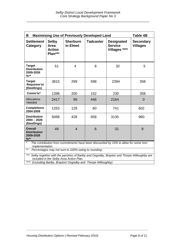| <b>Maximising Use of Previously Developed Land</b><br><b>Table 4B</b><br>B                                                                                                                                          |                                                  |                             |                  |                                                      |                                     |
|---------------------------------------------------------------------------------------------------------------------------------------------------------------------------------------------------------------------|--------------------------------------------------|-----------------------------|------------------|------------------------------------------------------|-------------------------------------|
| <b>Settlement</b><br>Category                                                                                                                                                                                       | <b>Selby</b><br>Area<br><b>Action</b><br>Plan*** | <b>Sherburn</b><br>in Elmet | <b>Tadcaster</b> | <b>Designated</b><br><b>Service</b><br>Villages **** | <b>Secondary</b><br><b>Villages</b> |
| <b>Target</b><br><b>Distribution</b><br>2009-2026<br>$%$ **                                                                                                                                                         | 51                                               | 4                           | 8                | 32                                                   | 5                                   |
| <b>Target</b><br>Requirem'nt<br>(Dwellings)                                                                                                                                                                         | 3815                                             | 299                         | 598              | 2394                                                 | 358                                 |
| Comm'ts*                                                                                                                                                                                                            | 1398                                             | 200                         | 152              | 230                                                  | 358                                 |
| Allocations<br>Needed                                                                                                                                                                                               | 2417                                             | 99                          | 446              | 2164                                                 | $\overline{0}$                      |
| <b>Completions</b><br>2004-2009                                                                                                                                                                                     | 1253                                             | 129                         | 60               | 741                                                  | 602                                 |
| <b>Distribution</b><br>$2004 - 2026$<br>(Dwellings)                                                                                                                                                                 | 5068                                             | 428                         | 658              | 3135                                                 | 960                                 |
| <b>Overall</b><br><b>Distribution</b><br>2009-2026<br>$%$ **                                                                                                                                                        | 49                                               | $\overline{4}$              | 6                | 31                                                   | 9                                   |
| $\star$<br>The contribution from commitments have been discounted by 10% to allow for some non-<br>implementation                                                                                                   |                                                  |                             |                  |                                                      |                                     |
| $***$<br>Percentages may not sum to 100% owing to rounding                                                                                                                                                          |                                                  |                             |                  |                                                      |                                     |
| $***$<br>Selby together with the parishes of Barlby and Osgodby, Brayton and Thorpe Willoughby are<br>included in the Selby Area Action Plan.<br>$***$<br>Excluding Barlby, Brayton/ Osgodby and Thorpe Willoughby) |                                                  |                             |                  |                                                      |                                     |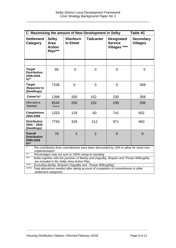| C Maximising the amount of New Development in Selby<br><b>Table 4C</b>                                                                                    |                                                  |                             |                  |                                                      |                                     |
|-----------------------------------------------------------------------------------------------------------------------------------------------------------|--------------------------------------------------|-----------------------------|------------------|------------------------------------------------------|-------------------------------------|
| <b>Settlement</b><br>Category                                                                                                                             | <b>Selby</b><br>Area<br><b>Action</b><br>Plan*** | <b>Sherburn</b><br>in Elmet | <b>Tadcaster</b> | <b>Designated</b><br><b>Service</b><br>Villages **** | <b>Secondary</b><br><b>Villages</b> |
|                                                                                                                                                           |                                                  |                             |                  |                                                      |                                     |
| <b>Target</b><br><b>Distribution</b><br>2009-2026<br>$%$ **                                                                                               | 95                                               | $\overline{0}$              | $\overline{0}$   | $\mathbf 0$                                          | 5                                   |
| <b>Target</b><br>Requirem'nt<br>(Dwellings)                                                                                                               | 7106                                             | $\overline{0}$              | $\overline{0}$   | $\overline{0}$                                       | 358                                 |
| Comm'ts*                                                                                                                                                  | 1398                                             | 200                         | 152              | 230                                                  | 358                                 |
| Allocations<br>Needed                                                                                                                                     | 6540<br>*****                                    | 200                         | 152              | 230                                                  | 358                                 |
| <b>Completions</b><br>2004-2009                                                                                                                           | 1253                                             | 129                         | 60               | 741                                                  | 602                                 |
| <b>Distribution</b><br>$2004 - 2026$<br>(Dwellings)                                                                                                       | 7793                                             | 329                         | 212              | 971                                                  | 960                                 |
| <b>Overall</b><br><b>Distribution</b><br>2009-2026<br>$\frac{9}{6}$ **                                                                                    | 76                                               | 3                           | $\overline{2}$   | 9                                                    | 9                                   |
| $\star$<br>The contribution from commitments have been discounted by 10% to allow for some non-<br>implementation                                         |                                                  |                             |                  |                                                      |                                     |
| $***$<br>Percentages may not sum to 100% owing to rounding                                                                                                |                                                  |                             |                  |                                                      |                                     |
| $***$<br>Selby together with the parishes of Barlby and Osgodby, Brayton and Thorpe Willoughby                                                            |                                                  |                             |                  |                                                      |                                     |
| are included in the Selby Area Action Plan.<br>****                                                                                                       |                                                  |                             |                  |                                                      |                                     |
| Excluding Barlby, Brayton/ Osgodby and Thorpe Willoughby)<br>*****<br>Total allocations needed after taking account of completion of commitments in other |                                                  |                             |                  |                                                      |                                     |
| settlement categories                                                                                                                                     |                                                  |                             |                  |                                                      |                                     |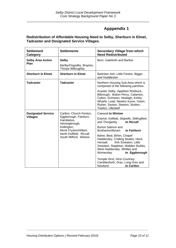### **Apppendix 1**

#### **Redistribution of Affordable Housing Need to Selby, Sherburn in Elmet, Tadcaster and Designated Service Villages.**

| <b>Settlement</b><br>Category                | <b>Settlements</b>                                                                                                                                                         | <b>Secondary Village from which</b><br><b>Need Redistributed</b>                                                                                                                                                                                                                                                                                                                                                                                                  |
|----------------------------------------------|----------------------------------------------------------------------------------------------------------------------------------------------------------------------------|-------------------------------------------------------------------------------------------------------------------------------------------------------------------------------------------------------------------------------------------------------------------------------------------------------------------------------------------------------------------------------------------------------------------------------------------------------------------|
| <b>Selby Area Action</b><br>Plan             | <b>Selby</b><br>Barlby/Osgodby, Brayton,<br>Thorpe Willoughby                                                                                                              | Burn, Gateforth and Barlow                                                                                                                                                                                                                                                                                                                                                                                                                                        |
| <b>Sherburn in Elmet</b>                     | <b>Sherburn in Elmet</b>                                                                                                                                                   | Barkston Ash, Little Fenton, Biggin<br>and Huddleston                                                                                                                                                                                                                                                                                                                                                                                                             |
| <b>Tadcaster</b>                             | <b>Tadcaster</b>                                                                                                                                                           | Northern Housing Sub-Area which is<br>composed of the following parishes:                                                                                                                                                                                                                                                                                                                                                                                         |
|                                              |                                                                                                                                                                            | Acaster Selby, Appleton Roebuck,<br>Bilbrough, Bolton Percy, Catterton,<br>Colton, Grimston, Healagh, Kirkby<br>Wharfe, Lead, Newton Kyme, Oxton,<br>Ryther, Saxton, Steeton, Stutton,<br>Towton, Ulleskelf                                                                                                                                                                                                                                                       |
| <b>Designated Service</b><br><b>Villages</b> | Carlton, Church Fenton,<br>Eggborough, Fairburn,<br>Hambleton,<br>Hemingbrough,<br>Kellington,<br>Monk Fryston/Hillam,<br>North Duffield. Riccall<br>South Milford, Wistow | Cawood to Wistow<br>Eskrick, Kelfield, Skipwith, Stillingfleet<br>and Thorganby<br>to Riccall<br>Burton Salmon and<br>Brotherton/Byram<br>to Fairburn<br>Balne, Beal, Birkin, Chapel<br>Haddersley, Cridling Stubbs, Heck,<br>Hensall,<br>Kirk Smeaton, Little<br>Smeaton, Stapleton, Walden Stubbs,<br>West Haddersley, Whitley and<br>Womersley<br>to Eggborough<br>Temple Hirst, Hirst Courtney,<br>Camblesforth, Drax, Long Drax and<br>Newland<br>to Carlton |